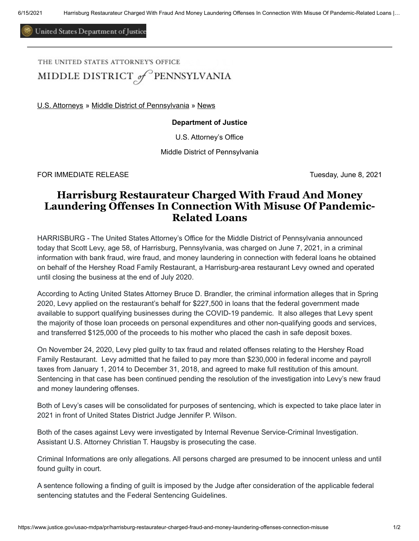United States Department of Justice

THE UNITED STATES ATTORNEY'S OFFICE

MIDDLE DISTRICT of PENNSYLVANIA

[U.S. Attorneys](https://www.justice.gov/usao) » [Middle District of Pennsylvania](https://www.justice.gov/usao-mdpa) » [News](https://www.justice.gov/usao-mdpa/pr)

## **Department of Justice**

U.S. Attorney's Office

Middle District of Pennsylvania

FOR IMMEDIATE RELEASE TUESDAY AND TUESDAY, June 8, 2021

## **Harrisburg Restaurateur Charged With Fraud And Money Laundering Offenses In Connection With Misuse Of Pandemic-Related Loans**

HARRISBURG - The United States Attorney's Office for the Middle District of Pennsylvania announced today that Scott Levy, age 58, of Harrisburg, Pennsylvania, was charged on June 7, 2021, in a criminal information with bank fraud, wire fraud, and money laundering in connection with federal loans he obtained on behalf of the Hershey Road Family Restaurant, a Harrisburg-area restaurant Levy owned and operated until closing the business at the end of July 2020.

According to Acting United States Attorney Bruce D. Brandler, the criminal information alleges that in Spring 2020, Levy applied on the restaurant's behalf for \$227,500 in loans that the federal government made available to support qualifying businesses during the COVID-19 pandemic. It also alleges that Levy spent the majority of those loan proceeds on personal expenditures and other non-qualifying goods and services, and transferred \$125,000 of the proceeds to his mother who placed the cash in safe deposit boxes.

On November 24, 2020, Levy pled guilty to tax fraud and related offenses relating to the Hershey Road Family Restaurant. Levy admitted that he failed to pay more than \$230,000 in federal income and payroll taxes from January 1, 2014 to December 31, 2018, and agreed to make full restitution of this amount. Sentencing in that case has been continued pending the resolution of the investigation into Levy's new fraud and money laundering offenses.

Both of Levy's cases will be consolidated for purposes of sentencing, which is expected to take place later in 2021 in front of United States District Judge Jennifer P. Wilson.

Both of the cases against Levy were investigated by Internal Revenue Service-Criminal Investigation. Assistant U.S. Attorney Christian T. Haugsby is prosecuting the case.

Criminal Informations are only allegations. All persons charged are presumed to be innocent unless and until found guilty in court.

A sentence following a finding of guilt is imposed by the Judge after consideration of the applicable federal sentencing statutes and the Federal Sentencing Guidelines.